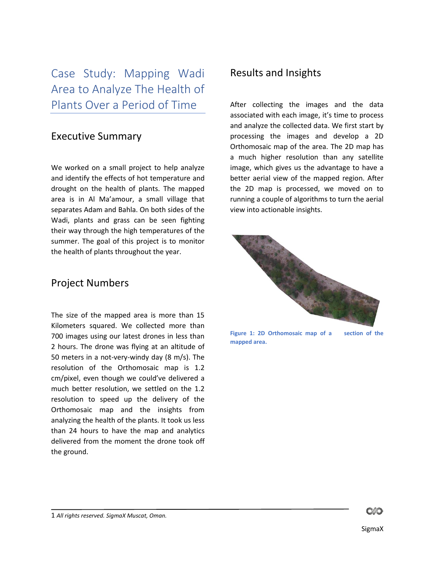Case Study: Mapping Wadi Area to Analyze The Health of Plants Over a Period of Time

## Executive Summary

We worked on a small project to help analyze and identify the effects of hot temperature and drought on the health of plants. The mapped area is in Al Ma'amour, a small village that separates Adam and Bahla. On both sides of the Wadi, plants and grass can be seen fighting their way through the high temperatures of the summer. The goal of this project is to monitor the health of plants throughout the year.

## Project Numbers

The size of the mapped area is more than 15 Kilometers squared. We collected more than 700 images using our latest drones in less than 2 hours. The drone was flying at an altitude of 50 meters in a not-very-windy day (8 m/s). The resolution of the Orthomosaic map is 1.2 cm/pixel, even though we could've delivered a much better resolution, we settled on the 1.2 resolution to speed up the delivery of the Orthomosaic map and the insights from analyzing the health of the plants. It took us less than 24 hours to have the map and analytics delivered from the moment the drone took off the ground.

## Results and Insights

After collecting the images and the data associated with each image, it's time to process and analyze the collected data. We first start by processing the images and develop a 2D Orthomosaic map of the area. The 2D map has a much higher resolution than any satellite image, which gives us the advantage to have a better aerial view of the mapped region. After the 2D map is processed, we moved on to running a couple of algorithms to turn the aerial view into actionable insights.



**Figure 1: 2D Orthomosaic map of a section of the mapped area.**